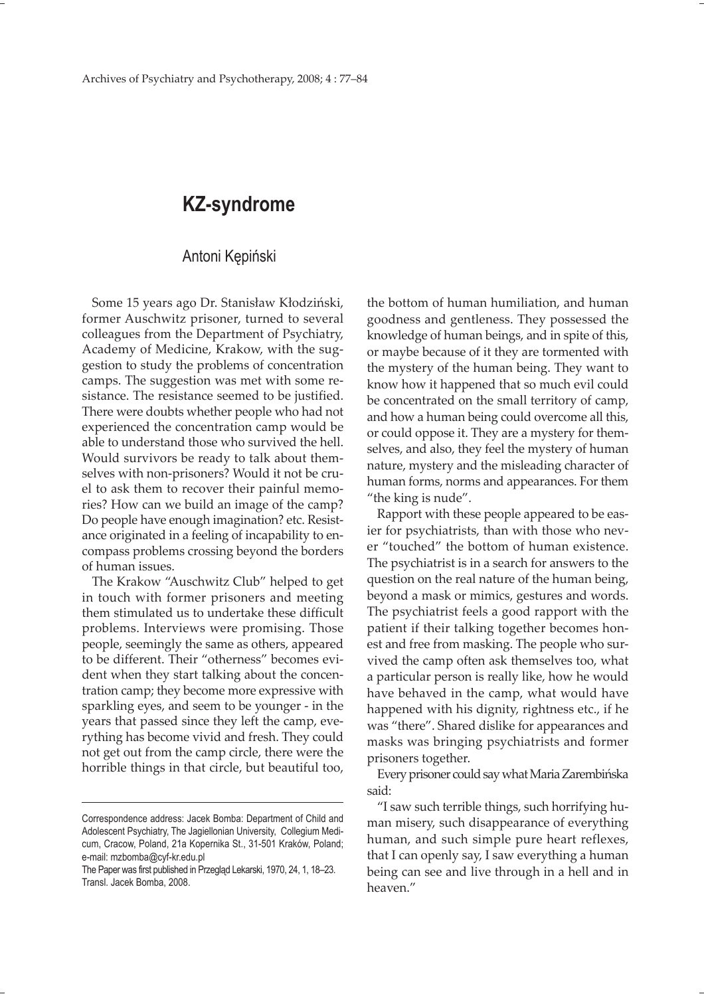## **KZ-syndrome**

## Antoni Kępiński

Some 15 years ago Dr. Stanisław Kłodziński, former Auschwitz prisoner, turned to several colleagues from the Department of Psychiatry, Academy of Medicine, Krakow, with the suggestion to study the problems of concentration camps. The suggestion was met with some resistance. The resistance seemed to be justified. There were doubts whether people who had not experienced the concentration camp would be able to understand those who survived the hell. Would survivors be ready to talk about themselves with non-prisoners? Would it not be cruel to ask them to recover their painful memories? How can we build an image of the camp? Do people have enough imagination? etc. Resistance originated in a feeling of incapability to encompass problems crossing beyond the borders of human issues.

The Krakow "Auschwitz Club" helped to get in touch with former prisoners and meeting them stimulated us to undertake these difficult problems. Interviews were promising. Those people, seemingly the same as others, appeared to be different. Their "otherness" becomes evident when they start talking about the concentration camp; they become more expressive with sparkling eyes, and seem to be younger - in the years that passed since they left the camp, everything has become vivid and fresh. They could not get out from the camp circle, there were the horrible things in that circle, but beautiful too,

the bottom of human humiliation, and human goodness and gentleness. They possessed the knowledge of human beings, and in spite of this, or maybe because of it they are tormented with the mystery of the human being. They want to know how it happened that so much evil could be concentrated on the small territory of camp, and how a human being could overcome all this, or could oppose it. They are a mystery for themselves, and also, they feel the mystery of human nature, mystery and the misleading character of human forms, norms and appearances. For them "the king is nude".

Rapport with these people appeared to be easier for psychiatrists, than with those who never "touched" the bottom of human existence. The psychiatrist is in a search for answers to the question on the real nature of the human being, beyond a mask or mimics, gestures and words. The psychiatrist feels a good rapport with the patient if their talking together becomes honest and free from masking. The people who survived the camp often ask themselves too, what a particular person is really like, how he would have behaved in the camp, what would have happened with his dignity, rightness etc., if he was "there". Shared dislike for appearances and masks was bringing psychiatrists and former prisoners together.

Every prisoner could say what Maria Zarembińska said:

"I saw such terrible things, such horrifying human misery, such disappearance of everything human, and such simple pure heart reflexes, that I can openly say, I saw everything a human being can see and live through in a hell and in heaven."

Correspondence address: Jacek Bomba: Department of Child and Adolescent Psychiatry, The Jagiellonian University, Collegium Medicum, Cracow, Poland, 21a Kopernika St., 31-501 Kraków, Poland; e-mail: mzbomba@cyf-kr.edu.pl

The Paper was first published in Przegląd Lekarski, 1970, 24, 1, 18–23. Transl. Jacek Bomba, 2008.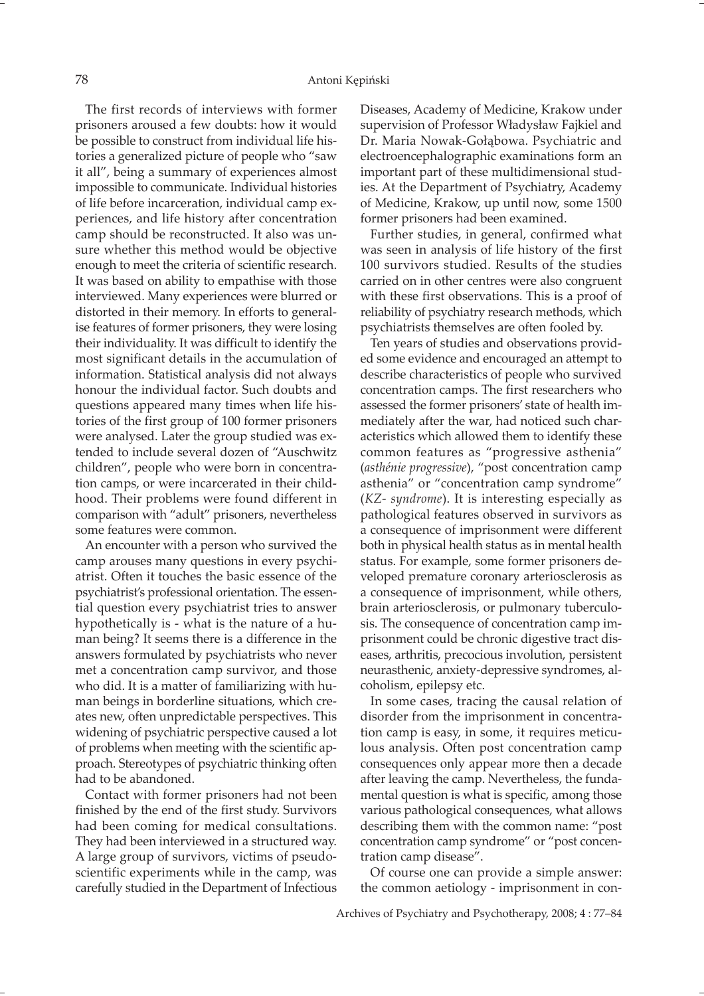The first records of interviews with former prisoners aroused a few doubts: how it would be possible to construct from individual life histories a generalized picture of people who "saw it all", being a summary of experiences almost impossible to communicate. Individual histories of life before incarceration, individual camp experiences, and life history after concentration camp should be reconstructed. It also was unsure whether this method would be objective enough to meet the criteria of scientific research. It was based on ability to empathise with those interviewed. Many experiences were blurred or distorted in their memory. In efforts to generalise features of former prisoners, they were losing their individuality. It was difficult to identify the most significant details in the accumulation of information. Statistical analysis did not always honour the individual factor. Such doubts and questions appeared many times when life histories of the first group of 100 former prisoners were analysed. Later the group studied was extended to include several dozen of "Auschwitz children", people who were born in concentration camps, or were incarcerated in their childhood. Their problems were found different in comparison with "adult" prisoners, nevertheless some features were common.

An encounter with a person who survived the camp arouses many questions in every psychiatrist. Often it touches the basic essence of the psychiatrist's professional orientation. The essential question every psychiatrist tries to answer hypothetically is - what is the nature of a human being? It seems there is a difference in the answers formulated by psychiatrists who never met a concentration camp survivor, and those who did. It is a matter of familiarizing with human beings in borderline situations, which creates new, often unpredictable perspectives. This widening of psychiatric perspective caused a lot of problems when meeting with the scientific approach. Stereotypes of psychiatric thinking often had to be abandoned.

Contact with former prisoners had not been finished by the end of the first study. Survivors had been coming for medical consultations. They had been interviewed in a structured way. A large group of survivors, victims of pseudoscientific experiments while in the camp, was carefully studied in the Department of Infectious

Diseases, Academy of Medicine, Krakow under supervision of Professor Władysław Fajkiel and Dr. Maria Nowak-Gołąbowa. Psychiatric and electroencephalographic examinations form an important part of these multidimensional studies. At the Department of Psychiatry, Academy of Medicine, Krakow, up until now, some 1500 former prisoners had been examined.

Further studies, in general, confirmed what was seen in analysis of life history of the first 100 survivors studied. Results of the studies carried on in other centres were also congruent with these first observations. This is a proof of reliability of psychiatry research methods, which psychiatrists themselves are often fooled by.

Ten years of studies and observations provided some evidence and encouraged an attempt to describe characteristics of people who survived concentration camps. The first researchers who assessed the former prisoners' state of health immediately after the war, had noticed such characteristics which allowed them to identify these common features as "progressive asthenia" (*asthénie progressive*), "post concentration camp asthenia" or "concentration camp syndrome" (*KZ- syndrome*). It is interesting especially as pathological features observed in survivors as a consequence of imprisonment were different both in physical health status as in mental health status. For example, some former prisoners developed premature coronary arteriosclerosis as a consequence of imprisonment, while others, brain arteriosclerosis, or pulmonary tuberculosis. The consequence of concentration camp imprisonment could be chronic digestive tract diseases, arthritis, precocious involution, persistent neurasthenic, anxiety-depressive syndromes, alcoholism, epilepsy etc.

In some cases, tracing the causal relation of disorder from the imprisonment in concentration camp is easy, in some, it requires meticulous analysis. Often post concentration camp consequences only appear more then a decade after leaving the camp. Nevertheless, the fundamental question is what is specific, among those various pathological consequences, what allows describing them with the common name: "post concentration camp syndrome" or "post concentration camp disease".

Of course one can provide a simple answer: the common aetiology - imprisonment in con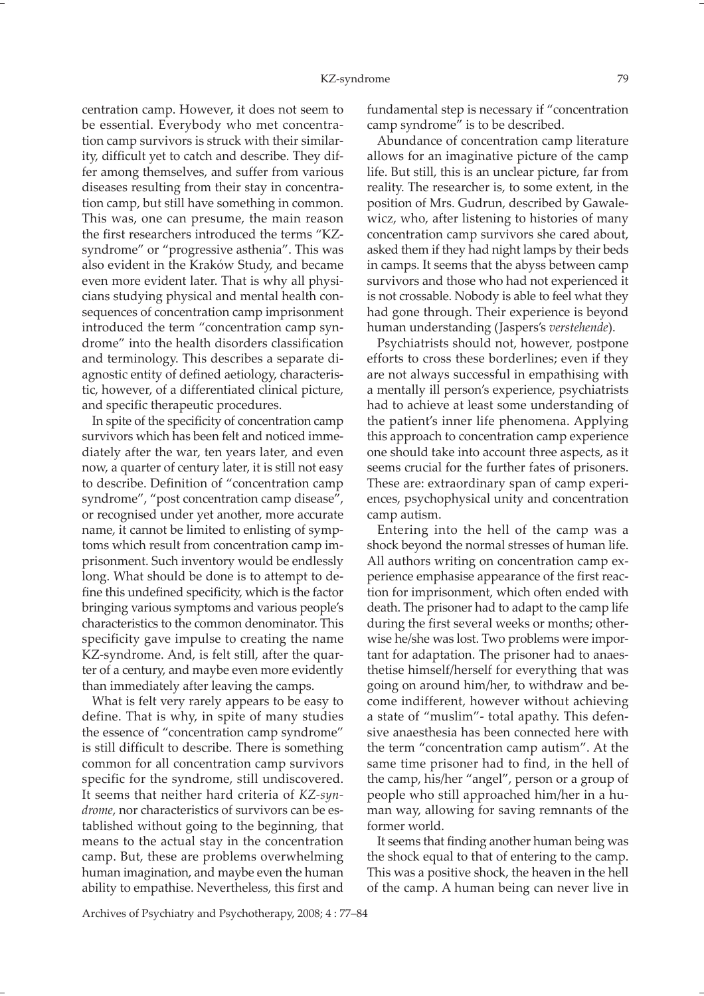centration camp. However, it does not seem to be essential. Everybody who met concentration camp survivors is struck with their similarity, difficult yet to catch and describe. They differ among themselves, and suffer from various diseases resulting from their stay in concentration camp, but still have something in common. This was, one can presume, the main reason the first researchers introduced the terms "KZsyndrome" or "progressive asthenia". This was also evident in the Kraków Study, and became even more evident later. That is why all physicians studying physical and mental health consequences of concentration camp imprisonment introduced the term "concentration camp syndrome" into the health disorders classification and terminology. This describes a separate diagnostic entity of defined aetiology, characteristic, however, of a differentiated clinical picture, and specific therapeutic procedures.

In spite of the specificity of concentration camp survivors which has been felt and noticed immediately after the war, ten years later, and even now, a quarter of century later, it is still not easy to describe. Definition of "concentration camp syndrome", "post concentration camp disease", or recognised under yet another, more accurate name, it cannot be limited to enlisting of symptoms which result from concentration camp imprisonment. Such inventory would be endlessly long. What should be done is to attempt to define this undefined specificity, which is the factor bringing various symptoms and various people's characteristics to the common denominator. This specificity gave impulse to creating the name KZ-syndrome. And, is felt still, after the quarter of a century, and maybe even more evidently than immediately after leaving the camps.

What is felt very rarely appears to be easy to define. That is why, in spite of many studies the essence of "concentration camp syndrome" is still difficult to describe. There is something common for all concentration camp survivors specific for the syndrome, still undiscovered. It seems that neither hard criteria of *KZ-syndrome*, nor characteristics of survivors can be established without going to the beginning, that means to the actual stay in the concentration camp. But, these are problems overwhelming human imagination, and maybe even the human ability to empathise. Nevertheless, this first and

fundamental step is necessary if "concentration camp syndrome" is to be described.

Abundance of concentration camp literature allows for an imaginative picture of the camp life. But still, this is an unclear picture, far from reality. The researcher is, to some extent, in the position of Mrs. Gudrun, described by Gawalewicz, who, after listening to histories of many concentration camp survivors she cared about, asked them if they had night lamps by their beds in camps. It seems that the abyss between camp survivors and those who had not experienced it is not crossable. Nobody is able to feel what they had gone through. Their experience is beyond human understanding (Jaspers's *verstehende*).

Psychiatrists should not, however, postpone efforts to cross these borderlines; even if they are not always successful in empathising with a mentally ill person's experience, psychiatrists had to achieve at least some understanding of the patient's inner life phenomena. Applying this approach to concentration camp experience one should take into account three aspects, as it seems crucial for the further fates of prisoners. These are: extraordinary span of camp experiences, psychophysical unity and concentration camp autism.

Entering into the hell of the camp was a shock beyond the normal stresses of human life. All authors writing on concentration camp experience emphasise appearance of the first reaction for imprisonment, which often ended with death. The prisoner had to adapt to the camp life during the first several weeks or months; otherwise he/she was lost. Two problems were important for adaptation. The prisoner had to anaesthetise himself/herself for everything that was going on around him/her, to withdraw and become indifferent, however without achieving a state of "muslim"- total apathy. This defensive anaesthesia has been connected here with the term "concentration camp autism". At the same time prisoner had to find, in the hell of the camp, his/her "angel", person or a group of people who still approached him/her in a human way, allowing for saving remnants of the former world.

It seems that finding another human being was the shock equal to that of entering to the camp. This was a positive shock, the heaven in the hell of the camp. A human being can never live in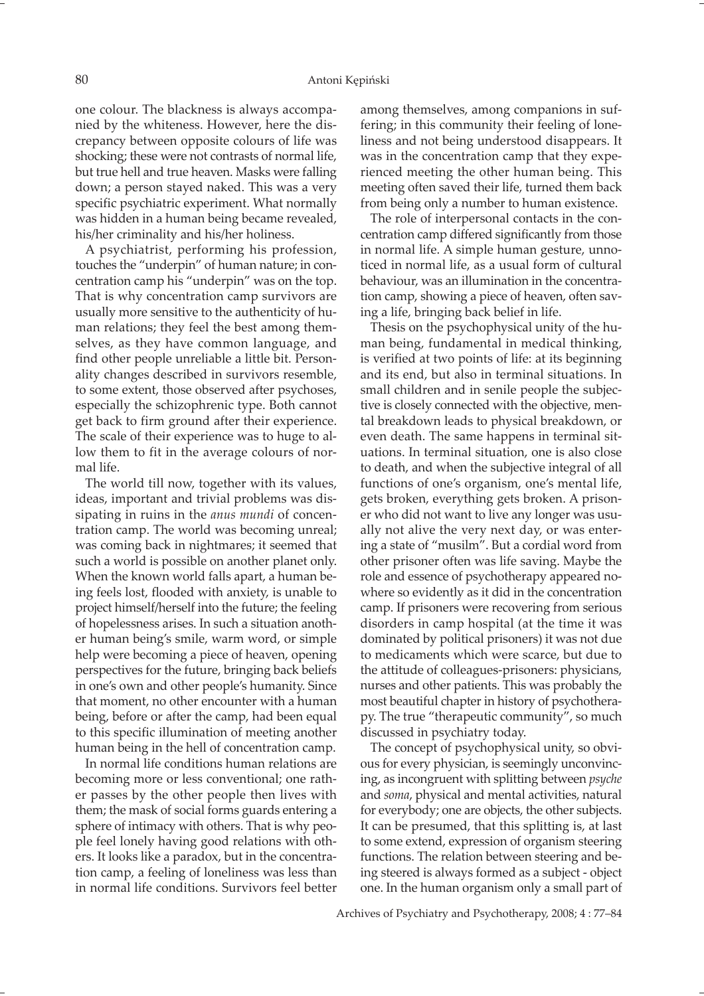one colour. The blackness is always accompanied by the whiteness. However, here the discrepancy between opposite colours of life was shocking; these were not contrasts of normal life, but true hell and true heaven. Masks were falling down; a person stayed naked. This was a very specific psychiatric experiment. What normally was hidden in a human being became revealed, his/her criminality and his/her holiness.

A psychiatrist, performing his profession, touches the "underpin" of human nature; in concentration camp his "underpin" was on the top. That is why concentration camp survivors are usually more sensitive to the authenticity of human relations; they feel the best among themselves, as they have common language, and find other people unreliable a little bit. Personality changes described in survivors resemble, to some extent, those observed after psychoses, especially the schizophrenic type. Both cannot get back to firm ground after their experience. The scale of their experience was to huge to allow them to fit in the average colours of normal life.

The world till now, together with its values, ideas, important and trivial problems was dissipating in ruins in the *anus mundi* of concentration camp. The world was becoming unreal; was coming back in nightmares; it seemed that such a world is possible on another planet only. When the known world falls apart, a human being feels lost, flooded with anxiety, is unable to project himself/herself into the future; the feeling of hopelessness arises. In such a situation another human being's smile, warm word, or simple help were becoming a piece of heaven, opening perspectives for the future, bringing back beliefs in one's own and other people's humanity. Since that moment, no other encounter with a human being, before or after the camp, had been equal to this specific illumination of meeting another human being in the hell of concentration camp.

In normal life conditions human relations are becoming more or less conventional; one rather passes by the other people then lives with them; the mask of social forms guards entering a sphere of intimacy with others. That is why people feel lonely having good relations with others. It looks like a paradox, but in the concentration camp, a feeling of loneliness was less than in normal life conditions. Survivors feel better

among themselves, among companions in suffering; in this community their feeling of loneliness and not being understood disappears. It was in the concentration camp that they experienced meeting the other human being. This meeting often saved their life, turned them back from being only a number to human existence.

The role of interpersonal contacts in the concentration camp differed significantly from those in normal life. A simple human gesture, unnoticed in normal life, as a usual form of cultural behaviour, was an illumination in the concentration camp, showing a piece of heaven, often saving a life, bringing back belief in life.

Thesis on the psychophysical unity of the human being, fundamental in medical thinking, is verified at two points of life: at its beginning and its end, but also in terminal situations. In small children and in senile people the subjective is closely connected with the objective, mental breakdown leads to physical breakdown, or even death. The same happens in terminal situations. In terminal situation, one is also close to death, and when the subjective integral of all functions of one's organism, one's mental life, gets broken, everything gets broken. A prisoner who did not want to live any longer was usually not alive the very next day, or was entering a state of "musilm". But a cordial word from other prisoner often was life saving. Maybe the role and essence of psychotherapy appeared nowhere so evidently as it did in the concentration camp. If prisoners were recovering from serious disorders in camp hospital (at the time it was dominated by political prisoners) it was not due to medicaments which were scarce, but due to the attitude of colleagues-prisoners: physicians, nurses and other patients. This was probably the most beautiful chapter in history of psychotherapy. The true "therapeutic community", so much discussed in psychiatry today.

The concept of psychophysical unity, so obvious for every physician, is seemingly unconvincing, as incongruent with splitting between *psyche* and *soma*, physical and mental activities, natural for everybody; one are objects, the other subjects. It can be presumed, that this splitting is, at last to some extend, expression of organism steering functions. The relation between steering and being steered is always formed as a subject - object one. In the human organism only a small part of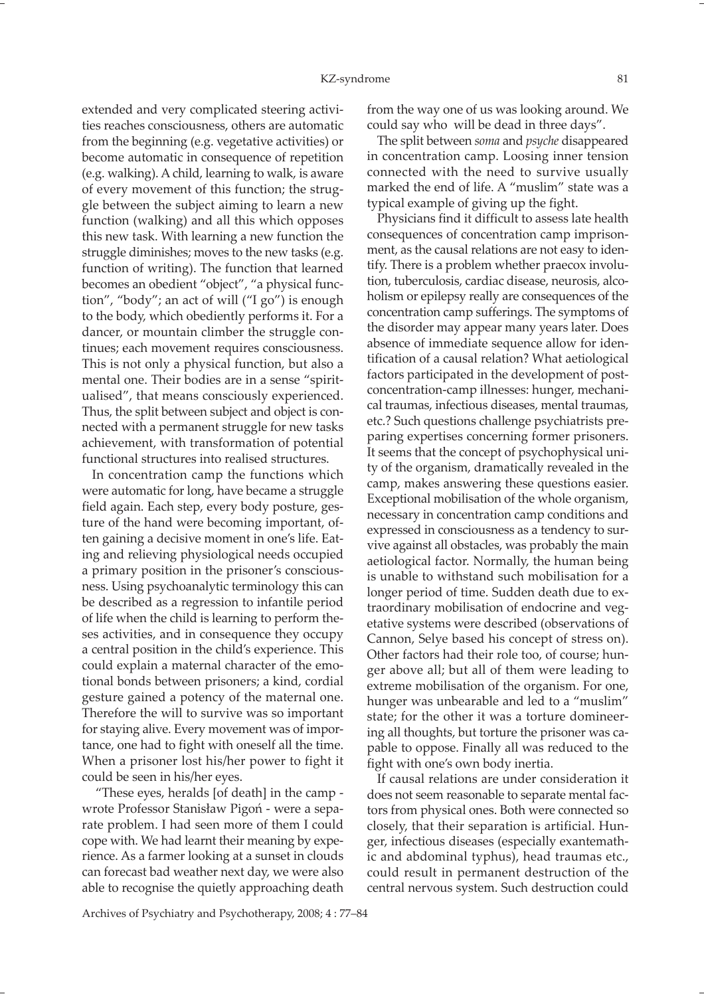extended and very complicated steering activities reaches consciousness, others are automatic from the beginning (e.g. vegetative activities) or become automatic in consequence of repetition (e.g. walking). A child, learning to walk, is aware of every movement of this function; the struggle between the subject aiming to learn a new function (walking) and all this which opposes this new task. With learning a new function the struggle diminishes; moves to the new tasks (e.g. function of writing). The function that learned becomes an obedient "object", "a physical function", "body"; an act of will ("I go") is enough to the body, which obediently performs it. For a dancer, or mountain climber the struggle continues; each movement requires consciousness. This is not only a physical function, but also a mental one. Their bodies are in a sense "spiritualised", that means consciously experienced. Thus, the split between subject and object is connected with a permanent struggle for new tasks achievement, with transformation of potential functional structures into realised structures.

In concentration camp the functions which were automatic for long, have became a struggle field again. Each step, every body posture, gesture of the hand were becoming important, often gaining a decisive moment in one's life. Eating and relieving physiological needs occupied a primary position in the prisoner's consciousness. Using psychoanalytic terminology this can be described as a regression to infantile period of life when the child is learning to perform theses activities, and in consequence they occupy a central position in the child's experience. This could explain a maternal character of the emotional bonds between prisoners; a kind, cordial gesture gained a potency of the maternal one. Therefore the will to survive was so important for staying alive. Every movement was of importance, one had to fight with oneself all the time. When a prisoner lost his/her power to fight it could be seen in his/her eyes.

 "These eyes, heralds [of death] in the camp wrote Professor Stanisław Pigoń - were a separate problem. I had seen more of them I could cope with. We had learnt their meaning by experience. As a farmer looking at a sunset in clouds can forecast bad weather next day, we were also able to recognise the quietly approaching death from the way one of us was looking around. We could say who will be dead in three days".

The split between *soma* and *psyche* disappeared in concentration camp. Loosing inner tension connected with the need to survive usually marked the end of life. A "muslim" state was a typical example of giving up the fight.

Physicians find it difficult to assess late health consequences of concentration camp imprisonment, as the causal relations are not easy to identify. There is a problem whether praecox involution, tuberculosis, cardiac disease, neurosis, alcoholism or epilepsy really are consequences of the concentration camp sufferings. The symptoms of the disorder may appear many years later. Does absence of immediate sequence allow for identification of a causal relation? What aetiological factors participated in the development of postconcentration-camp illnesses: hunger, mechanical traumas, infectious diseases, mental traumas, etc.? Such questions challenge psychiatrists preparing expertises concerning former prisoners. It seems that the concept of psychophysical unity of the organism, dramatically revealed in the camp, makes answering these questions easier. Exceptional mobilisation of the whole organism, necessary in concentration camp conditions and expressed in consciousness as a tendency to survive against all obstacles, was probably the main aetiological factor. Normally, the human being is unable to withstand such mobilisation for a longer period of time. Sudden death due to extraordinary mobilisation of endocrine and vegetative systems were described (observations of Cannon, Selye based his concept of stress on). Other factors had their role too, of course; hunger above all; but all of them were leading to extreme mobilisation of the organism. For one, hunger was unbearable and led to a "muslim" state; for the other it was a torture domineering all thoughts, but torture the prisoner was capable to oppose. Finally all was reduced to the fight with one's own body inertia.

If causal relations are under consideration it does not seem reasonable to separate mental factors from physical ones. Both were connected so closely, that their separation is artificial. Hunger, infectious diseases (especially exantemathic and abdominal typhus), head traumas etc., could result in permanent destruction of the central nervous system. Such destruction could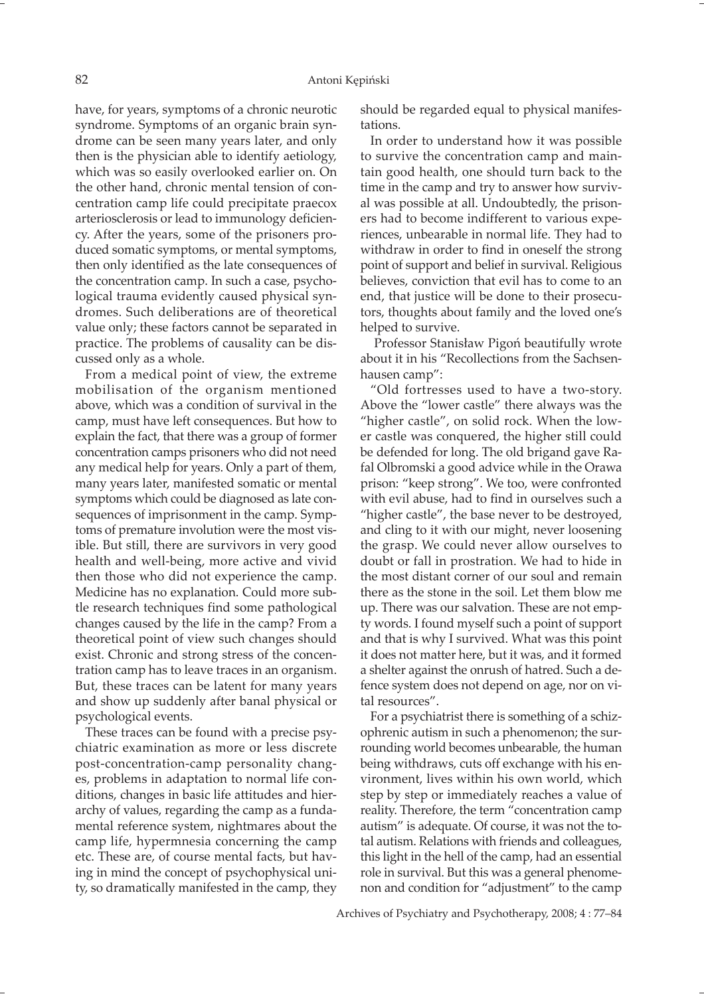have, for years, symptoms of a chronic neurotic syndrome. Symptoms of an organic brain syndrome can be seen many years later, and only then is the physician able to identify aetiology, which was so easily overlooked earlier on. On the other hand, chronic mental tension of concentration camp life could precipitate praecox arteriosclerosis or lead to immunology deficiency. After the years, some of the prisoners produced somatic symptoms, or mental symptoms, then only identified as the late consequences of the concentration camp. In such a case, psychological trauma evidently caused physical syndromes. Such deliberations are of theoretical value only; these factors cannot be separated in practice. The problems of causality can be discussed only as a whole.

From a medical point of view, the extreme mobilisation of the organism mentioned above, which was a condition of survival in the camp, must have left consequences. But how to explain the fact, that there was a group of former concentration camps prisoners who did not need any medical help for years. Only a part of them, many years later, manifested somatic or mental symptoms which could be diagnosed as late consequences of imprisonment in the camp. Symptoms of premature involution were the most visible. But still, there are survivors in very good health and well-being, more active and vivid then those who did not experience the camp. Medicine has no explanation. Could more subtle research techniques find some pathological changes caused by the life in the camp? From a theoretical point of view such changes should exist. Chronic and strong stress of the concentration camp has to leave traces in an organism. But, these traces can be latent for many years and show up suddenly after banal physical or psychological events.

These traces can be found with a precise psychiatric examination as more or less discrete post-concentration-camp personality changes, problems in adaptation to normal life conditions, changes in basic life attitudes and hierarchy of values, regarding the camp as a fundamental reference system, nightmares about the camp life, hypermnesia concerning the camp etc. These are, of course mental facts, but having in mind the concept of psychophysical unity, so dramatically manifested in the camp, they

should be regarded equal to physical manifestations.

In order to understand how it was possible to survive the concentration camp and maintain good health, one should turn back to the time in the camp and try to answer how survival was possible at all. Undoubtedly, the prisoners had to become indifferent to various experiences, unbearable in normal life. They had to withdraw in order to find in oneself the strong point of support and belief in survival. Religious believes, conviction that evil has to come to an end, that justice will be done to their prosecutors, thoughts about family and the loved one's helped to survive.

 Professor Stanisław Pigoń beautifully wrote about it in his "Recollections from the Sachsenhausen camp":

"Old fortresses used to have a two-story. Above the "lower castle" there always was the "higher castle", on solid rock. When the lower castle was conquered, the higher still could be defended for long. The old brigand gave Rafal Olbromski a good advice while in the Orawa prison: "keep strong". We too, were confronted with evil abuse, had to find in ourselves such a "higher castle", the base never to be destroyed, and cling to it with our might, never loosening the grasp. We could never allow ourselves to doubt or fall in prostration. We had to hide in the most distant corner of our soul and remain there as the stone in the soil. Let them blow me up. There was our salvation. These are not empty words. I found myself such a point of support and that is why I survived. What was this point it does not matter here, but it was, and it formed a shelter against the onrush of hatred. Such a defence system does not depend on age, nor on vital resources".

For a psychiatrist there is something of a schizophrenic autism in such a phenomenon; the surrounding world becomes unbearable, the human being withdraws, cuts off exchange with his environment, lives within his own world, which step by step or immediately reaches a value of reality. Therefore, the term "concentration camp autism" is adequate. Of course, it was not the total autism. Relations with friends and colleagues, this light in the hell of the camp, had an essential role in survival. But this was a general phenomenon and condition for "adjustment" to the camp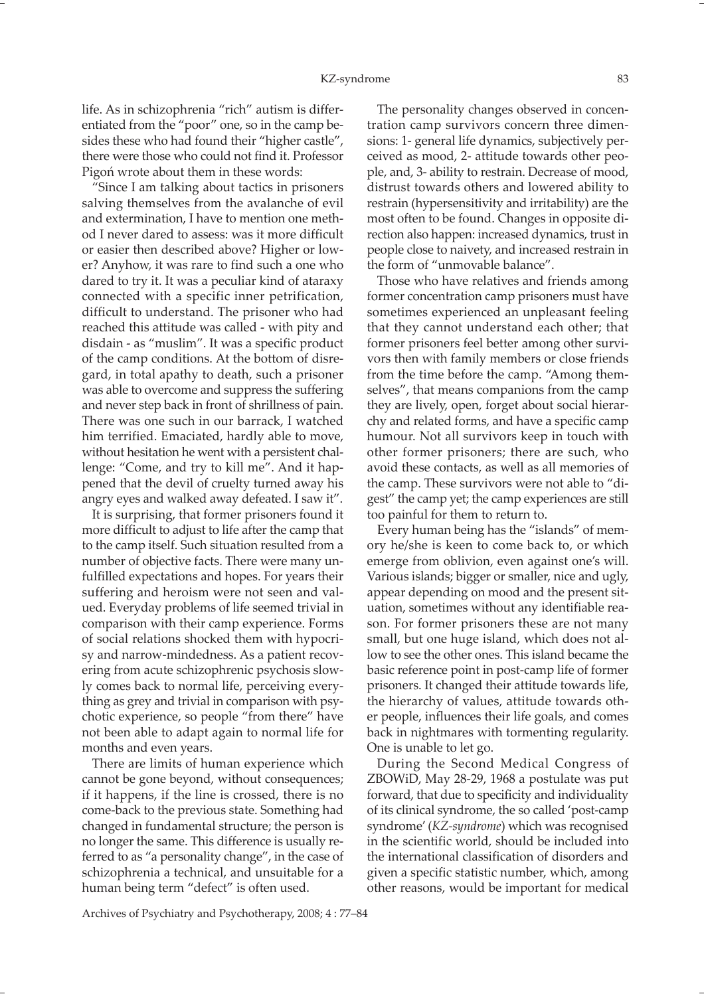life. As in schizophrenia "rich" autism is differentiated from the "poor" one, so in the camp besides these who had found their "higher castle", there were those who could not find it. Professor Pigoń wrote about them in these words:

"Since I am talking about tactics in prisoners salving themselves from the avalanche of evil and extermination, I have to mention one method I never dared to assess: was it more difficult or easier then described above? Higher or lower? Anyhow, it was rare to find such a one who dared to try it. It was a peculiar kind of ataraxy connected with a specific inner petrification, difficult to understand. The prisoner who had reached this attitude was called - with pity and disdain - as "muslim". It was a specific product of the camp conditions. At the bottom of disregard, in total apathy to death, such a prisoner was able to overcome and suppress the suffering and never step back in front of shrillness of pain. There was one such in our barrack, I watched him terrified. Emaciated, hardly able to move, without hesitation he went with a persistent challenge: "Come, and try to kill me". And it happened that the devil of cruelty turned away his angry eyes and walked away defeated. I saw it".

It is surprising, that former prisoners found it more difficult to adjust to life after the camp that to the camp itself. Such situation resulted from a number of objective facts. There were many unfulfilled expectations and hopes. For years their suffering and heroism were not seen and valued. Everyday problems of life seemed trivial in comparison with their camp experience. Forms of social relations shocked them with hypocrisy and narrow-mindedness. As a patient recovering from acute schizophrenic psychosis slowly comes back to normal life, perceiving everything as grey and trivial in comparison with psychotic experience, so people "from there" have not been able to adapt again to normal life for months and even years.

There are limits of human experience which cannot be gone beyond, without consequences; if it happens, if the line is crossed, there is no come-back to the previous state. Something had changed in fundamental structure; the person is no longer the same. This difference is usually referred to as "a personality change", in the case of schizophrenia a technical, and unsuitable for a human being term "defect" is often used.

The personality changes observed in concentration camp survivors concern three dimensions: 1- general life dynamics, subjectively perceived as mood, 2- attitude towards other people, and, 3- ability to restrain. Decrease of mood, distrust towards others and lowered ability to restrain (hypersensitivity and irritability) are the most often to be found. Changes in opposite direction also happen: increased dynamics, trust in people close to naivety, and increased restrain in the form of "unmovable balance".

Those who have relatives and friends among former concentration camp prisoners must have sometimes experienced an unpleasant feeling that they cannot understand each other; that former prisoners feel better among other survivors then with family members or close friends from the time before the camp. "Among themselves", that means companions from the camp they are lively, open, forget about social hierarchy and related forms, and have a specific camp humour. Not all survivors keep in touch with other former prisoners; there are such, who avoid these contacts, as well as all memories of the camp. These survivors were not able to "digest" the camp yet; the camp experiences are still too painful for them to return to.

Every human being has the "islands" of memory he/she is keen to come back to, or which emerge from oblivion, even against one's will. Various islands; bigger or smaller, nice and ugly, appear depending on mood and the present situation, sometimes without any identifiable reason. For former prisoners these are not many small, but one huge island, which does not allow to see the other ones. This island became the basic reference point in post-camp life of former prisoners. It changed their attitude towards life, the hierarchy of values, attitude towards other people, influences their life goals, and comes back in nightmares with tormenting regularity. One is unable to let go.

During the Second Medical Congress of ZBOWiD, May 28-29, 1968 a postulate was put forward, that due to specificity and individuality of its clinical syndrome, the so called 'post-camp syndrome' (*KZ-syndrome*) which was recognised in the scientific world, should be included into the international classification of disorders and given a specific statistic number, which, among other reasons, would be important for medical